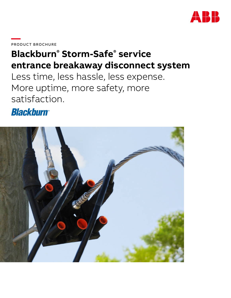

**—**PRODUCT BROCHURE

# **Blackburn® Storm-Safe® service entrance breakaway disconnect system**

Less time, less hassle, less expense. More uptime, more safety, more satisfaction.

**Blackburn®** 

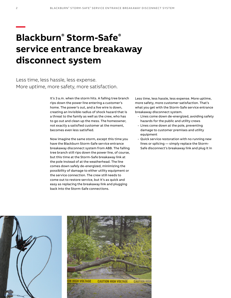# **Blackburn® Storm-Safe® service entrance breakaway disconnect system**

Less time, less hassle, less expense. More uptime, more safety, more satisfaction.

> It's 3 a.m. when the storm hits. A falling tree branch rips down the power line entering a customer's home. The power's out, and a live wire is down, creating an invisible radius of shock hazard that is a threat to the family as well as the crew, who has to go out and clean up the mess. The homeowner, not exactly a satisfied customer at the moment, becomes even less satisfied.

> Now imagine the same storm, except this time you have the Blackburn Storm-Safe service entrance breakaway disconnect system from ABB. The falling tree branch still rips down the power line, of course, but this time at the Storm-Safe breakaway link at the pole instead of at the weatherhead. The line comes down safely de-energized, minimizing the possibility of damage to either utility equipment or the service connection. The crew still needs to come out to restore service, but it's as quick and easy as replacing the breakaway link and plugging back into the Storm-Safe connections.

Less time, less hassle, less expense. More uptime, more safety, more customer satisfaction. That's what you get with the Storm-Safe service entrance breakaway disconnect system.

- Lines come down de-energized, avoiding safety hazards for the public and utility crews
- Lines come down at the pole, preventing damage to customer premises and utility equipment
- Quick service restoration with no running new lines or splicing — simply replace the Storm-Safe disconnect's breakaway link and plug it in





**—**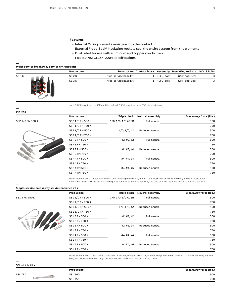## **Features**

- Internal O-ring prevents moisture into the contact
- External Flood-Seal® insulating rockets seal the entire system from the elements
- Dual rated for use with aluminum and copper conductors
- Meets ANSI C119.4-2004 specifications

### **Multi-service breakaway service entrance kits**

|        | Product no.       |                        |            | Description Contact block Assembly Insulating rockets 1/2"-13 Bolts |  |
|--------|-------------------|------------------------|------------|---------------------------------------------------------------------|--|
| SS 3 K | SS <sub>2</sub> K | Two-service base kit   | (1) U-bolt | (2) Flood-Seal                                                      |  |
|        | SS <sub>3</sub> K | Three-service base kit | (1) U-bolt | (2) Flood-Seal                                                      |  |

Note: SS 2 K requires two SSP pin kits (below). SS 3 K requires three SSP pin kits (below).

#### **Pin kits**

**—**

**—**

|                  | Product no.           | <b>Triple block</b> | <b>Neutral assembly</b> | Breakaway force (lbs.) |
|------------------|-----------------------|---------------------|-------------------------|------------------------|
| SSP 1/0 FN 500 K | SSP 1/0 FN 500 K      | 1/0, 1/0, 1/0 ACSR  | Full neutral            | 500                    |
|                  | SSP 1/0 FN 750 K      |                     |                         | 750                    |
|                  | SSP 1/0 RN 500 K      | $1/0, 1/0, \#2$     | Reduced neutral         | 500                    |
|                  | SSP 1/0 RN 750 K      |                     |                         | 750                    |
|                  | <b>SSP 2 FN 500 K</b> | #2,#2,#2            | <b>Full neutral</b>     | 500                    |
|                  | <b>SSP 2 FN 750 K</b> |                     |                         | 750                    |
|                  | <b>SSP 2 RN 500 K</b> | #2,#2,#4            | Reduced neutral         | 500                    |
|                  | <b>SSP 2 RN 750 K</b> |                     |                         | 750                    |
|                  | <b>SSP 4 FN 500 K</b> | #4,#4,#4            | Full neutral            | 500                    |
|                  | <b>SSP 4 FN 750 K</b> |                     |                         | 750                    |
|                  | <b>SSP 4 RN 500 K</b> | #4,#4,#6            | Reduced neutral         | 500                    |
|                  | <b>SSP 4 RN 750 K</b> |                     |                         | 750                    |

Note: Kit consists of two pin terminals, One neutral pin terminal, one SSL link kit (breakaway link and bail) and two Flood-Seal insulating rockets. Three pin kits are required for a three-service base kit, and two pins are required for a two-service base kit.

#### **— Single-service breakaway service entrance kits**

|                       | Product no.           | <b>Triple block</b>        | <b>Neutral assembly</b> | Breakaway force (lbs.) |
|-----------------------|-----------------------|----------------------------|-------------------------|------------------------|
| <b>SS1 4 FN 750 K</b> | SS1 1/0 FN 500 K      | $1/0$ , $1/0$ , $1/0$ ACSR | <b>Full neutral</b>     | 500                    |
|                       | SS1 1/0 FN 750 K      |                            |                         | 750                    |
|                       | SS1 1/0 RN 500 K      | 1/0, 1/0, #2               | Reduced neutral         | 500                    |
|                       | SS1 1/0 RN 750 K      |                            |                         | 750                    |
|                       | <b>SS1 2 FN 500 K</b> | #2, #2, #2                 | <b>Full neutral</b>     | 500                    |
|                       | SS1 2 FN 750 K        |                            |                         | 750                    |
|                       | <b>SS1 2 RN 500 K</b> | #2,#2,#4                   | Reduced neutral         | 500                    |
|                       | <b>SS1 2 RN 750 K</b> |                            |                         | 750                    |
|                       | <b>SS1 4 FN 500 K</b> | #4,#4,#4                   | <b>Full neutral</b>     | 500                    |
|                       | <b>SS1 4 FN 750 K</b> |                            |                         | 750                    |
|                       | <b>SS1 4 RN 500 K</b> | #4,#4,#6                   | Reduced neutral         | 500                    |
|                       | <b>SS1 4 RN 750 K</b> |                            |                         | 750                    |

Note: Kit consists of two sockets, one neutral socket, two pin terminals, one neutral pin terminal, one SSL link kit (breakaway link and bail), two Flood-Seal insulating splice covers and one Flood-Seal insulating rocket.

### **SSL – Link Kits**

**—**

|                | Product no.    | <b>Breakaway force (lbs.)</b> |
|----------------|----------------|-------------------------------|
| <b>SSL 750</b> | <b>SSL 500</b> | 500                           |
|                | 750<br>SSL     | 750                           |